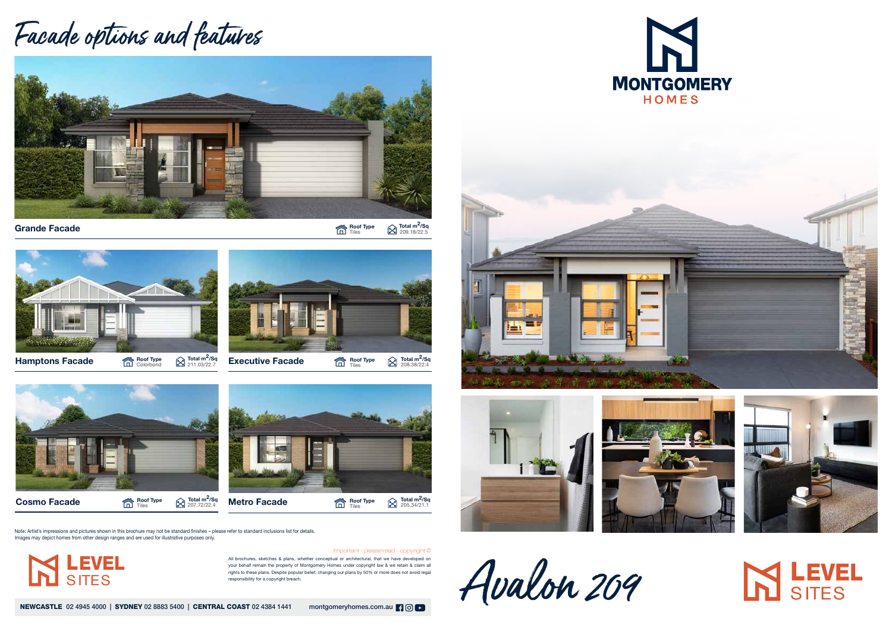All brochures, sketches & plans, whether conceptual or architectural, that we have developed on your behalf remain the property of Montgomery Homes under copyright law & we retain & claim all rights to these plans. Despite popular belief, changing our plans by 50% or more does not avoid legal responsibility for a copyright breach.

NEWCASTLE 02 4945 4000 | SYDNEY 02 8883 5400 | CENTRAL COAST 02 4384 1441 montgomeryhomes.com.au | 9 0 | 0







Avalon 209





## **SITES**

Important - please read - copyright ©

## Facade options and features



**Grande Facade Roof Type Total manufacture**  $\hat{\mathbb{C}}$  **Roof Type Total manufacture**  $\hat{\mathbb{C}}$  **Roof Type**  $\hat{\mathbb{C}}$ 

 $\bigotimes$  Total m<sup>2</sup>/Sq<br>209.18/22.5





Hamptons Facade **Roof Type** Roof Type

 $\bigotimes$  Total m<sup>2</sup>/Sq<br>211.03/22.7



Roof Type



 $\bigotimes_{208.38/22.4}$ Roof Type



Note: Artist's impressions and pictures shown in this brochure may not be standard finishes – please refer to standard inclusions list for details. Images may depict homes from other design ranges and are used for illustrative purposes only.